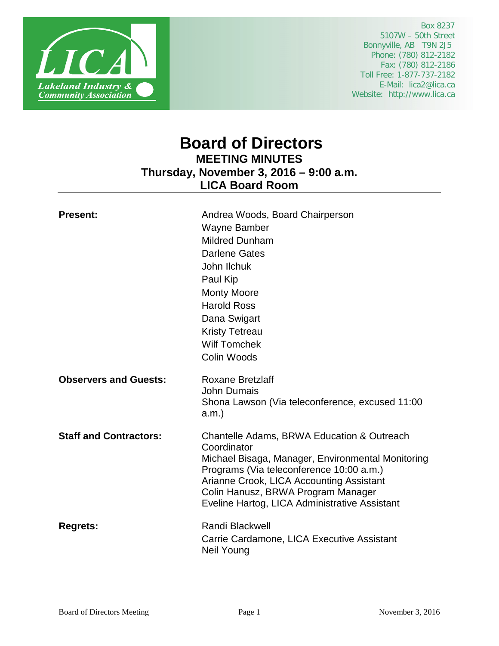

 Box 8237 5107W – 50th Street Bonnyville, AB T9N 2J5 Phone: (780) 812-2182 Fax: (780) 812-2186 Toll Free: 1-877-737-2182 E-Mail: lica2@lica.ca Website: http://www.lica.ca

# **Board of Directors MEETING MINUTES Thursday, November 3, 2016 – 9:00 a.m. LICA Board Room**

| <b>Present:</b>               | Andrea Woods, Board Chairperson<br>Wayne Bamber<br><b>Mildred Dunham</b><br><b>Darlene Gates</b><br>John Ilchuk<br>Paul Kip<br><b>Monty Moore</b><br><b>Harold Ross</b><br>Dana Swigart<br><b>Kristy Tetreau</b><br><b>Wilf Tomchek</b><br>Colin Woods                                        |
|-------------------------------|-----------------------------------------------------------------------------------------------------------------------------------------------------------------------------------------------------------------------------------------------------------------------------------------------|
| <b>Observers and Guests:</b>  | <b>Roxane Bretzlaff</b><br><b>John Dumais</b><br>Shona Lawson (Via teleconference, excused 11:00<br>a.m.                                                                                                                                                                                      |
| <b>Staff and Contractors:</b> | Chantelle Adams, BRWA Education & Outreach<br>Coordinator<br>Michael Bisaga, Manager, Environmental Monitoring<br>Programs (Via teleconference 10:00 a.m.)<br>Arianne Crook, LICA Accounting Assistant<br>Colin Hanusz, BRWA Program Manager<br>Eveline Hartog, LICA Administrative Assistant |
| <b>Regrets:</b>               | <b>Randi Blackwell</b><br>Carrie Cardamone, LICA Executive Assistant<br>Neil Young                                                                                                                                                                                                            |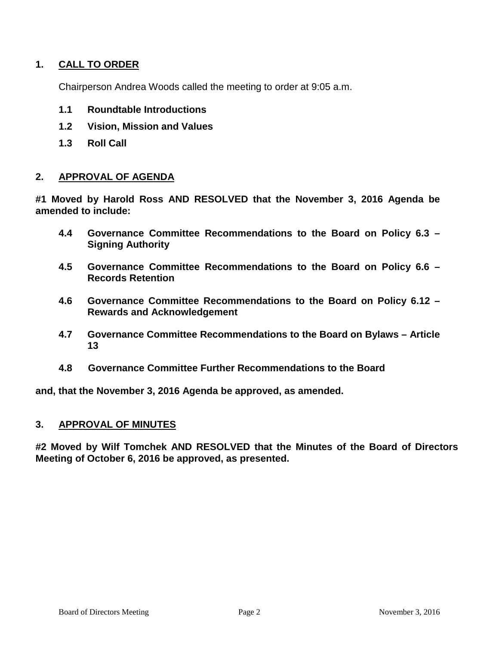# **1. CALL TO ORDER**

Chairperson Andrea Woods called the meeting to order at 9:05 a.m.

- **1.1 Roundtable Introductions**
- **1.2 Vision, Mission and Values**
- **1.3 Roll Call**

### **2. APPROVAL OF AGENDA**

**#1 Moved by Harold Ross AND RESOLVED that the November 3, 2016 Agenda be amended to include:**

- **4.4 Governance Committee Recommendations to the Board on Policy 6.3 – Signing Authority**
- **4.5 Governance Committee Recommendations to the Board on Policy 6.6 – Records Retention**
- **4.6 Governance Committee Recommendations to the Board on Policy 6.12 – Rewards and Acknowledgement**
- **4.7 Governance Committee Recommendations to the Board on Bylaws – Article 13**
- **4.8 Governance Committee Further Recommendations to the Board**

**and, that the November 3, 2016 Agenda be approved, as amended.**

#### **3. APPROVAL OF MINUTES**

**#2 Moved by Wilf Tomchek AND RESOLVED that the Minutes of the Board of Directors Meeting of October 6, 2016 be approved, as presented.**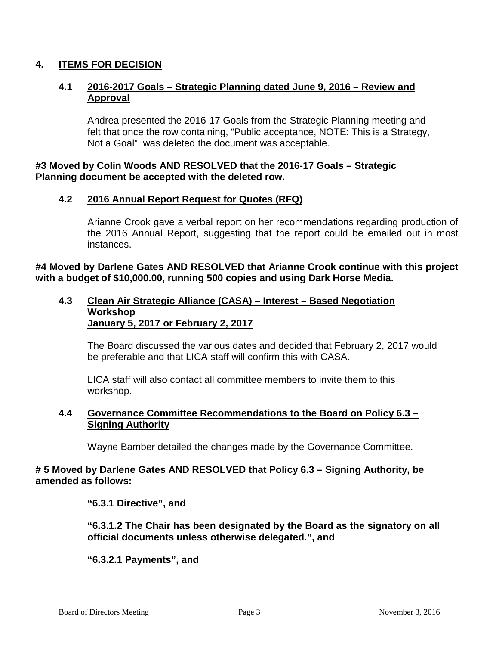# **4. ITEMS FOR DECISION**

## **4.1 2016-2017 Goals – Strategic Planning dated June 9, 2016 – Review and Approval**

Andrea presented the 2016-17 Goals from the Strategic Planning meeting and felt that once the row containing, "Public acceptance, NOTE: This is a Strategy, Not a Goal", was deleted the document was acceptable.

### **#3 Moved by Colin Woods AND RESOLVED that the 2016-17 Goals – Strategic Planning document be accepted with the deleted row.**

# **4.2 2016 Annual Report Request for Quotes (RFQ)**

Arianne Crook gave a verbal report on her recommendations regarding production of the 2016 Annual Report, suggesting that the report could be emailed out in most instances.

**#4 Moved by Darlene Gates AND RESOLVED that Arianne Crook continue with this project with a budget of \$10,000.00, running 500 copies and using Dark Horse Media.**

#### **4.3 Clean Air Strategic Alliance (CASA) – Interest – Based Negotiation Workshop January 5, 2017 or February 2, 2017**

The Board discussed the various dates and decided that February 2, 2017 would be preferable and that LICA staff will confirm this with CASA.

LICA staff will also contact all committee members to invite them to this workshop.

## **4.4 Governance Committee Recommendations to the Board on Policy 6.3 – Signing Authority**

Wayne Bamber detailed the changes made by the Governance Committee.

### **# 5 Moved by Darlene Gates AND RESOLVED that Policy 6.3 – Signing Authority, be amended as follows:**

**"6.3.1 Directive", and**

**"6.3.1.2 The Chair has been designated by the Board as the signatory on all official documents unless otherwise delegated.", and**

### **"6.3.2.1 Payments", and**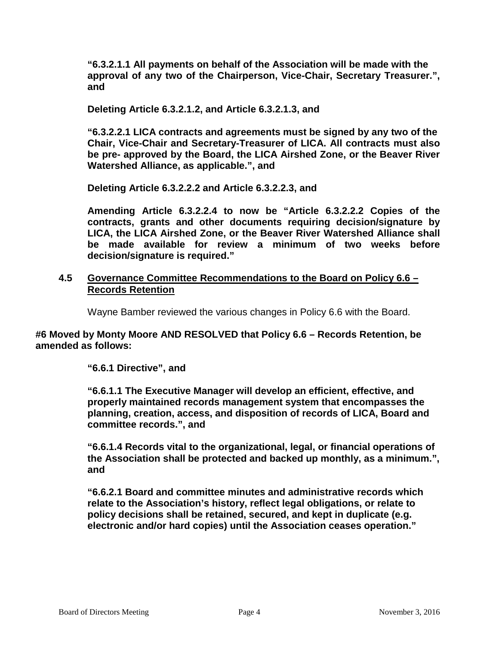**"6.3.2.1.1 All payments on behalf of the Association will be made with the approval of any two of the Chairperson, Vice-Chair, Secretary Treasurer.", and**

**Deleting Article 6.3.2.1.2, and Article 6.3.2.1.3, and**

**"6.3.2.2.1 LICA contracts and agreements must be signed by any two of the Chair, Vice-Chair and Secretary-Treasurer of LICA. All contracts must also be pre- approved by the Board, the LICA Airshed Zone, or the Beaver River Watershed Alliance, as applicable.", and**

**Deleting Article 6.3.2.2.2 and Article 6.3.2.2.3, and**

**Amending Article 6.3.2.2.4 to now be "Article 6.3.2.2.2 Copies of the contracts, grants and other documents requiring decision/signature by LICA, the LICA Airshed Zone, or the Beaver River Watershed Alliance shall be made available for review a minimum of two weeks before decision/signature is required."**

### **4.5 Governance Committee Recommendations to the Board on Policy 6.6 – Records Retention**

Wayne Bamber reviewed the various changes in Policy 6.6 with the Board.

**#6 Moved by Monty Moore AND RESOLVED that Policy 6.6 – Records Retention, be amended as follows:**

### **"6.6.1 Directive", and**

**"6.6.1.1 The Executive Manager will develop an efficient, effective, and properly maintained records management system that encompasses the planning, creation, access, and disposition of records of LICA, Board and committee records.", and**

**"6.6.1.4 Records vital to the organizational, legal, or financial operations of the Association shall be protected and backed up monthly, as a minimum.", and**

**"6.6.2.1 Board and committee minutes and administrative records which relate to the Association's history, reflect legal obligations, or relate to policy decisions shall be retained, secured, and kept in duplicate (e.g. electronic and/or hard copies) until the Association ceases operation."**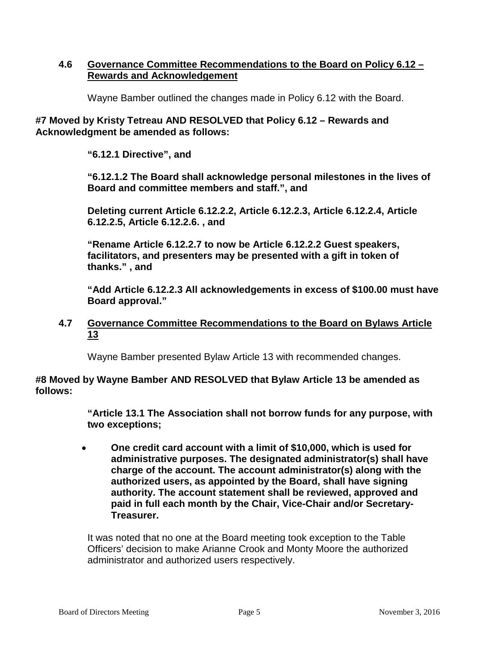### **4.6 Governance Committee Recommendations to the Board on Policy 6.12 – Rewards and Acknowledgement**

Wayne Bamber outlined the changes made in Policy 6.12 with the Board.

### **#7 Moved by Kristy Tetreau AND RESOLVED that Policy 6.12 – Rewards and Acknowledgment be amended as follows:**

**"6.12.1 Directive", and**

**"6.12.1.2 The Board shall acknowledge personal milestones in the lives of Board and committee members and staff.", and**

**Deleting current Article 6.12.2.2, Article 6.12.2.3, Article 6.12.2.4, Article 6.12.2.5, Article 6.12.2.6. , and**

**"Rename Article 6.12.2.7 to now be Article 6.12.2.2 Guest speakers, facilitators, and presenters may be presented with a gift in token of thanks." , and**

**"Add Article 6.12.2.3 All acknowledgements in excess of \$100.00 must have Board approval."** 

### **4.7 Governance Committee Recommendations to the Board on Bylaws Article 13**

Wayne Bamber presented Bylaw Article 13 with recommended changes.

### **#8 Moved by Wayne Bamber AND RESOLVED that Bylaw Article 13 be amended as follows:**

**"Article 13.1 The Association shall not borrow funds for any purpose, with two exceptions;**

• **One credit card account with a limit of \$10,000, which is used for administrative purposes. The designated administrator(s) shall have charge of the account. The account administrator(s) along with the authorized users, as appointed by the Board, shall have signing authority. The account statement shall be reviewed, approved and paid in full each month by the Chair, Vice-Chair and/or Secretary-Treasurer.**

It was noted that no one at the Board meeting took exception to the Table Officers' decision to make Arianne Crook and Monty Moore the authorized administrator and authorized users respectively.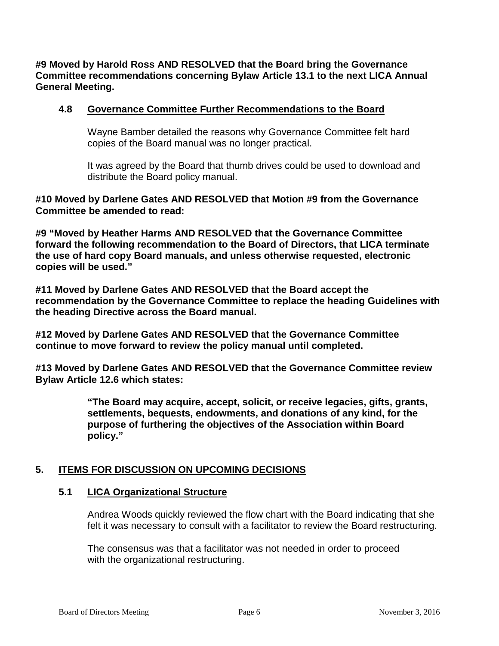**#9 Moved by Harold Ross AND RESOLVED that the Board bring the Governance Committee recommendations concerning Bylaw Article 13.1 to the next LICA Annual General Meeting.**

### **4.8 Governance Committee Further Recommendations to the Board**

Wayne Bamber detailed the reasons why Governance Committee felt hard copies of the Board manual was no longer practical.

It was agreed by the Board that thumb drives could be used to download and distribute the Board policy manual.

**#10 Moved by Darlene Gates AND RESOLVED that Motion #9 from the Governance Committee be amended to read:**

**#9 "Moved by Heather Harms AND RESOLVED that the Governance Committee forward the following recommendation to the Board of Directors, that LICA terminate the use of hard copy Board manuals, and unless otherwise requested, electronic copies will be used."**

**#11 Moved by Darlene Gates AND RESOLVED that the Board accept the recommendation by the Governance Committee to replace the heading Guidelines with the heading Directive across the Board manual.**

**#12 Moved by Darlene Gates AND RESOLVED that the Governance Committee continue to move forward to review the policy manual until completed.**

**#13 Moved by Darlene Gates AND RESOLVED that the Governance Committee review Bylaw Article 12.6 which states:**

> **"The Board may acquire, accept, solicit, or receive legacies, gifts, grants, settlements, bequests, endowments, and donations of any kind, for the purpose of furthering the objectives of the Association within Board policy."**

### **5. ITEMS FOR DISCUSSION ON UPCOMING DECISIONS**

#### **5.1 LICA Organizational Structure**

Andrea Woods quickly reviewed the flow chart with the Board indicating that she felt it was necessary to consult with a facilitator to review the Board restructuring.

The consensus was that a facilitator was not needed in order to proceed with the organizational restructuring.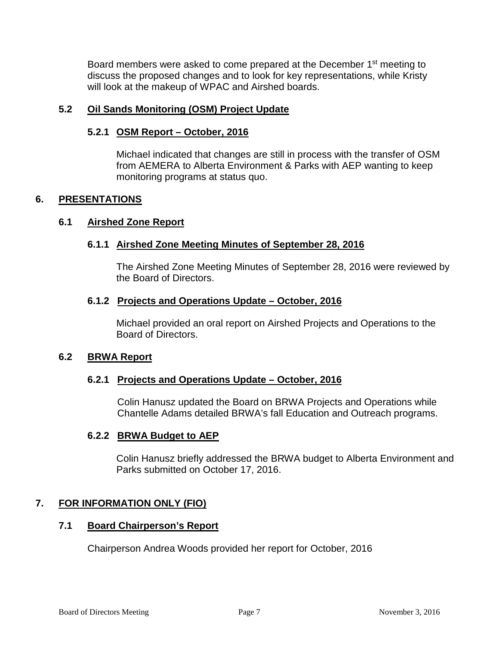Board members were asked to come prepared at the December 1<sup>st</sup> meeting to discuss the proposed changes and to look for key representations, while Kristy will look at the makeup of WPAC and Airshed boards.

### **5.2 Oil Sands Monitoring (OSM) Project Update**

# **5.2.1 OSM Report – October, 2016**

Michael indicated that changes are still in process with the transfer of OSM from AEMERA to Alberta Environment & Parks with AEP wanting to keep monitoring programs at status quo.

# **6. PRESENTATIONS**

### **6.1 Airshed Zone Report**

# **6.1.1 Airshed Zone Meeting Minutes of September 28, 2016**

The Airshed Zone Meeting Minutes of September 28, 2016 were reviewed by the Board of Directors.

### **6.1.2 Projects and Operations Update – October, 2016**

Michael provided an oral report on Airshed Projects and Operations to the Board of Directors.

### **6.2 BRWA Report**

### **6.2.1 Projects and Operations Update – October, 2016**

Colin Hanusz updated the Board on BRWA Projects and Operations while Chantelle Adams detailed BRWA's fall Education and Outreach programs.

### **6.2.2 BRWA Budget to AEP**

Colin Hanusz briefly addressed the BRWA budget to Alberta Environment and Parks submitted on October 17, 2016.

### **7. FOR INFORMATION ONLY (FIO)**

### **7.1 Board Chairperson's Report**

Chairperson Andrea Woods provided her report for October, 2016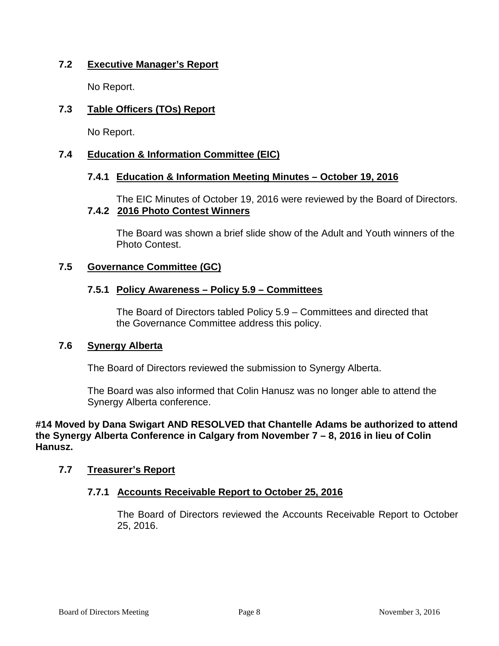# **7.2 Executive Manager's Report**

No Report.

# **7.3 Table Officers (TOs) Report**

No Report.

# **7.4 Education & Information Committee (EIC)**

### **7.4.1 Education & Information Meeting Minutes – October 19, 2016**

The EIC Minutes of October 19, 2016 were reviewed by the Board of Directors. **7.4.2 2016 Photo Contest Winners**

The Board was shown a brief slide show of the Adult and Youth winners of the Photo Contest.

### **7.5 Governance Committee (GC)**

### **7.5.1 Policy Awareness – Policy 5.9 – Committees**

The Board of Directors tabled Policy 5.9 – Committees and directed that the Governance Committee address this policy.

#### **7.6 Synergy Alberta**

The Board of Directors reviewed the submission to Synergy Alberta.

The Board was also informed that Colin Hanusz was no longer able to attend the Synergy Alberta conference.

**#14 Moved by Dana Swigart AND RESOLVED that Chantelle Adams be authorized to attend the Synergy Alberta Conference in Calgary from November 7 – 8, 2016 in lieu of Colin Hanusz.**

### **7.7 Treasurer's Report**

### **7.7.1 Accounts Receivable Report to October 25, 2016**

The Board of Directors reviewed the Accounts Receivable Report to October 25, 2016.